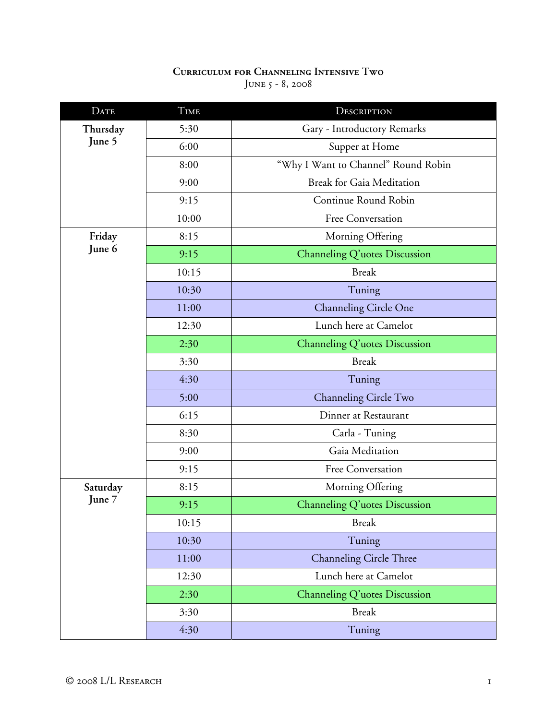## Date Time Time Description **Thursday June 5**  5:30 Gary - Introductory Remarks 6:00 Supper at Home 8:00 "Why I Want to Channel" Round Robin 9:00 Break for Gaia Meditation 9:15 Continue Round Robin 10:00 Free Conversation **Friday June 6**  8:15 Morning Offering 9:15 Channeling Q'uotes Discussion 10:15 Break 10:30 Tuning 11:00 Channeling Circle One 12:30 Lunch here at Camelot 2:30 Channeling Q'uotes Discussion 3:30 Break 4:30 Tuning 5:00 Channeling Circle Two 6:15 Dinner at Restaurant 8:30 Carla - Tuning 9:00 Gaia Meditation 9:15 Free Conversation **Saturday June 7**  8:15 Morning Offering 9:15 Channeling Q'uotes Discussion 10:15 Break

10:30 Tuning

3:30 Break 4:30 Tuning

11:00 Channeling Circle Three 12:30 Lunch here at Camelot

2:30 Channeling Q'uotes Discussion

## **Curriculum for Channeling Intensive Two**  JUNE 5 - 8, 2008